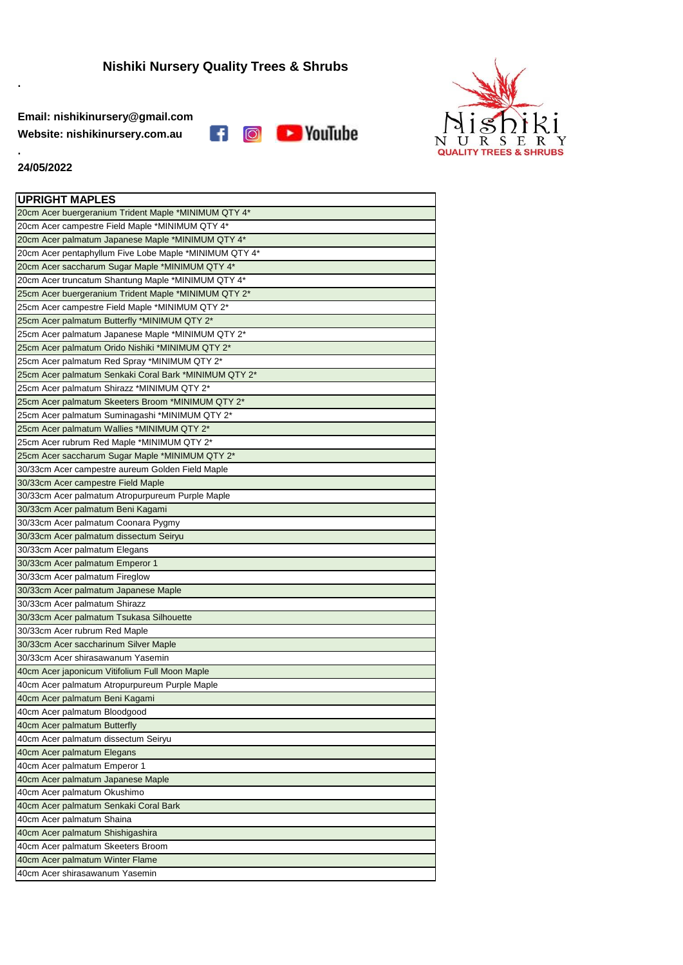**Email: nishikinursery@gmail.com Website: nishikinursery.com.au**





## **24/05/2022**

**.**

**.**

| <b>UPRIGHT MAPLES</b>                                  |
|--------------------------------------------------------|
| 20cm Acer buergeranium Trident Maple *MINIMUM QTY 4*   |
| 20cm Acer campestre Field Maple *MINIMUM QTY 4*        |
| 20cm Acer palmatum Japanese Maple *MINIMUM QTY 4*      |
| 20cm Acer pentaphyllum Five Lobe Maple *MINIMUM QTY 4* |
| 20cm Acer saccharum Sugar Maple *MINIMUM QTY 4*        |
| 20cm Acer truncatum Shantung Maple *MINIMUM QTY 4*     |
| 25cm Acer buergeranium Trident Maple *MINIMUM QTY 2*   |
| 25cm Acer campestre Field Maple *MINIMUM QTY 2*        |
| 25cm Acer palmatum Butterfly *MINIMUM QTY 2*           |
| 25cm Acer palmatum Japanese Maple *MINIMUM QTY 2*      |
| 25cm Acer palmatum Orido Nishiki *MINIMUM QTY 2*       |
| 25cm Acer palmatum Red Spray *MINIMUM QTY 2*           |
| 25cm Acer palmatum Senkaki Coral Bark *MINIMUM QTY 2*  |
| 25cm Acer palmatum Shirazz *MINIMUM QTY 2*             |
| 25cm Acer palmatum Skeeters Broom *MINIMUM QTY 2*      |
| 25cm Acer palmatum Suminagashi *MINIMUM QTY 2*         |
| 25cm Acer palmatum Wallies *MINIMUM QTY 2*             |
| 25cm Acer rubrum Red Maple *MINIMUM QTY 2*             |
| 25cm Acer saccharum Sugar Maple *MINIMUM QTY 2*        |
| 30/33cm Acer campestre aureum Golden Field Maple       |
| 30/33cm Acer campestre Field Maple                     |
| 30/33cm Acer palmatum Atropurpureum Purple Maple       |
| 30/33cm Acer palmatum Beni Kagami                      |
| 30/33cm Acer palmatum Coonara Pygmy                    |
| 30/33cm Acer palmatum dissectum Seiryu                 |
| 30/33cm Acer palmatum Elegans                          |
| 30/33cm Acer palmatum Emperor 1                        |
| 30/33cm Acer palmatum Fireglow                         |
| 30/33cm Acer palmatum Japanese Maple                   |
| 30/33cm Acer palmatum Shirazz                          |
| 30/33cm Acer palmatum Tsukasa Silhouette               |
| 30/33cm Acer rubrum Red Maple                          |
| 30/33cm Acer saccharinum Silver Maple                  |
| 30/33cm Acer shirasawanum Yasemin                      |
| 40cm Acer japonicum Vitifolium Full Moon Maple         |
| 40cm Acer palmatum Atropurpureum Purple Maple          |
| 40cm Acer palmatum Beni Kagami                         |
| 40cm Acer palmatum Bloodgood                           |
| 40cm Acer palmatum Butterfly                           |
| 40cm Acer palmatum dissectum Seiryu                    |
| 40cm Acer palmatum Elegans                             |
| 40cm Acer palmatum Emperor 1                           |
| 40cm Acer palmatum Japanese Maple                      |
| 40cm Acer palmatum Okushimo                            |
| 40cm Acer palmatum Senkaki Coral Bark                  |
| 40cm Acer palmatum Shaina                              |
| 40cm Acer palmatum Shishigashira                       |
| 40cm Acer palmatum Skeeters Broom                      |
| 40cm Acer palmatum Winter Flame                        |
| 40cm Acer shirasawanum Yasemin                         |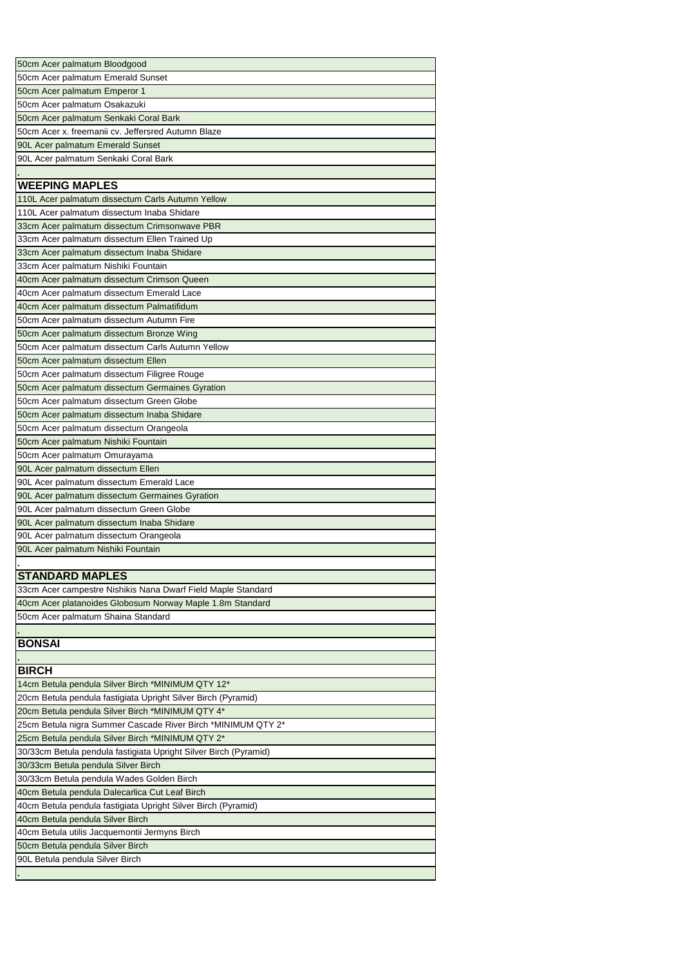| 50cm Acer palmatum Bloodgood                                     |
|------------------------------------------------------------------|
| 50cm Acer palmatum Emerald Sunset                                |
| 50cm Acer palmatum Emperor 1                                     |
| 50cm Acer palmatum Osakazuki                                     |
| 50cm Acer palmatum Senkaki Coral Bark                            |
| 50cm Acer x. freemanii cv. Jeffersred Autumn Blaze               |
| 90L Acer palmatum Emerald Sunset                                 |
| 90L Acer palmatum Senkaki Coral Bark                             |
|                                                                  |
| <b>WEEPING MAPLES</b>                                            |
| 110L Acer palmatum dissectum Carls Autumn Yellow                 |
| 110L Acer palmatum dissectum Inaba Shidare                       |
| 33cm Acer palmatum dissectum Crimsonwave PBR                     |
| 33cm Acer palmatum dissectum Ellen Trained Up                    |
| 33cm Acer palmatum dissectum Inaba Shidare                       |
| 33cm Acer palmatum Nishiki Fountain                              |
| 40cm Acer palmatum dissectum Crimson Queen                       |
| 40cm Acer palmatum dissectum Emerald Lace                        |
| 40cm Acer palmatum dissectum Palmatifidum                        |
| 50cm Acer palmatum dissectum Autumn Fire                         |
| 50cm Acer palmatum dissectum Bronze Wing                         |
| 50cm Acer palmatum dissectum Carls Autumn Yellow                 |
| 50cm Acer palmatum dissectum Ellen                               |
| 50cm Acer palmatum dissectum Filigree Rouge                      |
| 50cm Acer palmatum dissectum Germaines Gyration                  |
| 50cm Acer palmatum dissectum Green Globe                         |
| 50cm Acer palmatum dissectum Inaba Shidare                       |
| 50cm Acer palmatum dissectum Orangeola                           |
| 50cm Acer palmatum Nishiki Fountain                              |
|                                                                  |
| 50cm Acer palmatum Omurayama                                     |
| 90L Acer palmatum dissectum Ellen                                |
| 90L Acer palmatum dissectum Emerald Lace                         |
| 90L Acer palmatum dissectum Germaines Gyration                   |
| 90L Acer palmatum dissectum Green Globe                          |
| 90L Acer palmatum dissectum Inaba Shidare                        |
| 90L Acer palmatum dissectum Orangeola                            |
| 90L Acer palmatum Nishiki Fountain                               |
|                                                                  |
| <b>STANDARD MAPLES</b>                                           |
| 33cm Acer campestre Nishikis Nana Dwarf Field Maple Standard     |
| 40cm Acer platanoides Globosum Norway Maple 1.8m Standard        |
| 50cm Acer palmatum Shaina Standard                               |
|                                                                  |
| <b>BONSAI</b>                                                    |
|                                                                  |
| <b>BIRCH</b>                                                     |
| 14cm Betula pendula Silver Birch *MINIMUM QTY 12*                |
| 20cm Betula pendula fastigiata Upright Silver Birch (Pyramid)    |
| 20cm Betula pendula Silver Birch *MINIMUM QTY 4*                 |
| 25cm Betula nigra Summer Cascade River Birch *MINIMUM QTY 2*     |
| 25cm Betula pendula Silver Birch *MINIMUM QTY 2*                 |
| 30/33cm Betula pendula fastigiata Upright Silver Birch (Pyramid) |
| 30/33cm Betula pendula Silver Birch                              |
| 30/33cm Betula pendula Wades Golden Birch                        |
| 40cm Betula pendula Dalecarlica Cut Leaf Birch                   |
| 40cm Betula pendula fastigiata Upright Silver Birch (Pyramid)    |
| 40cm Betula pendula Silver Birch                                 |
| 40cm Betula utilis Jacquemontii Jermyns Birch                    |
| 50cm Betula pendula Silver Birch                                 |
| 90L Betula pendula Silver Birch                                  |
|                                                                  |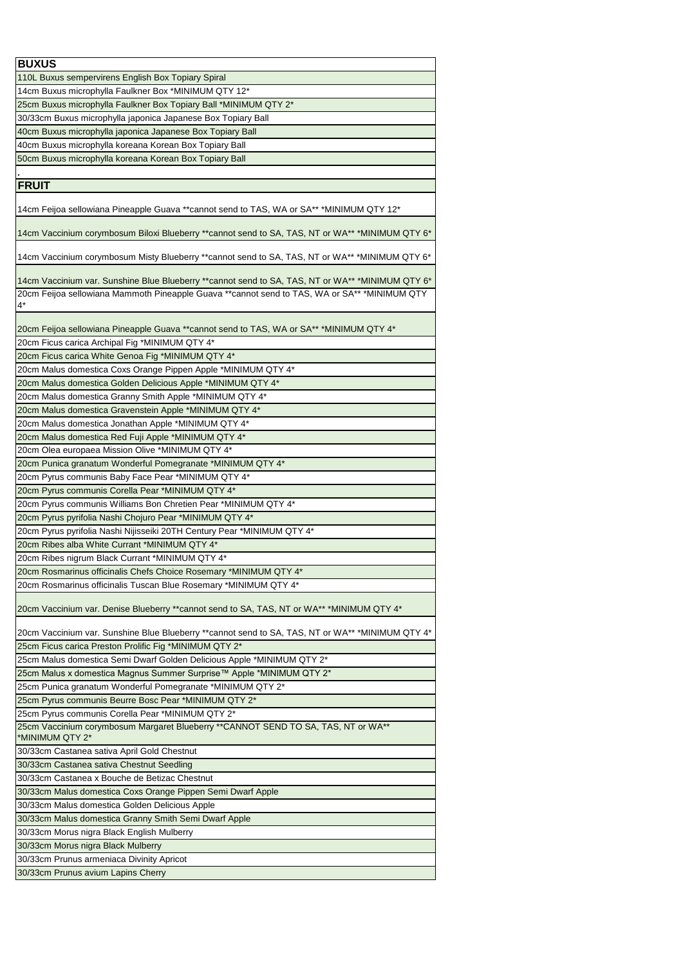| <b>BUXUS</b>                                                                                       |
|----------------------------------------------------------------------------------------------------|
| 110L Buxus sempervirens English Box Topiary Spiral                                                 |
| 14cm Buxus microphylla Faulkner Box *MINIMUM QTY 12*                                               |
| 25cm Buxus microphylla Faulkner Box Topiary Ball *MINIMUM QTY 2*                                   |
| 30/33cm Buxus microphylla japonica Japanese Box Topiary Ball                                       |
| 40cm Buxus microphylla japonica Japanese Box Topiary Ball                                          |
|                                                                                                    |
| 40cm Buxus microphylla koreana Korean Box Topiary Ball                                             |
| 50cm Buxus microphylla koreana Korean Box Topiary Ball                                             |
| <b>FRUIT</b>                                                                                       |
|                                                                                                    |
| 14cm Feijoa sellowiana Pineapple Guava **cannot send to TAS, WA or SA** *MINIMUM QTY 12*           |
|                                                                                                    |
| 14cm Vaccinium corymbosum Biloxi Blueberry **cannot send to SA, TAS, NT or WA** *MINIMUM QTY 6*    |
|                                                                                                    |
| 14cm Vaccinium corymbosum Misty Blueberry **cannot send to SA, TAS, NT or WA** *MINIMUM QTY 6*     |
|                                                                                                    |
| 14cm Vaccinium var. Sunshine Blue Blueberry ** cannot send to SA, TAS, NT or WA** * MINIMUM QTY 6* |
| 20cm Feijoa sellowiana Mammoth Pineapple Guava **cannot send to TAS, WA or SA** *MINIMUM QTY<br>4* |
|                                                                                                    |
| 20cm Feijoa sellowiana Pineapple Guava **cannot send to TAS, WA or SA** *MINIMUM QTY 4*            |
| 20cm Ficus carica Archipal Fig *MINIMUM QTY 4*                                                     |
| 20cm Ficus carica White Genoa Fig *MINIMUM QTY 4*                                                  |
| 20cm Malus domestica Coxs Orange Pippen Apple *MINIMUM QTY 4*                                      |
| 20cm Malus domestica Golden Delicious Apple *MINIMUM QTY 4*                                        |
| 20cm Malus domestica Granny Smith Apple *MINIMUM QTY 4*                                            |
| 20cm Malus domestica Gravenstein Apple *MINIMUM QTY 4*                                             |
| 20cm Malus domestica Jonathan Apple *MINIMUM QTY 4*                                                |
| 20cm Malus domestica Red Fuji Apple *MINIMUM QTY 4*                                                |
| 20cm Olea europaea Mission Olive *MINIMUM QTY 4*                                                   |
|                                                                                                    |
| 20cm Punica granatum Wonderful Pomegranate *MINIMUM QTY 4*                                         |
| 20cm Pyrus communis Baby Face Pear *MINIMUM QTY 4*                                                 |
| 20cm Pyrus communis Corella Pear *MINIMUM QTY 4*                                                   |
| 20cm Pyrus communis Williams Bon Chretien Pear *MINIMUM QTY 4*                                     |
| 20cm Pyrus pyrifolia Nashi Chojuro Pear *MINIMUM QTY 4*                                            |
| 20cm Pyrus pyrifolia Nashi Nijisseiki 20TH Century Pear *MINIMUM QTY 4*                            |
| 20cm Ribes alba White Currant *MINIMUM QTY 4*                                                      |
| 20cm Ribes nigrum Black Currant *MINIMUM QTY 4*                                                    |
| 20cm Rosmarinus officinalis Chefs Choice Rosemary *MINIMUM QTY 4*                                  |
| 20cm Rosmarinus officinalis Tuscan Blue Rosemary *MINIMUM QTY 4*                                   |
|                                                                                                    |
| 20cm Vaccinium var. Denise Blueberry **cannot send to SA, TAS, NT or WA** *MINIMUM QTY 4*          |
| 20cm Vaccinium var. Sunshine Blue Blueberry **cannot send to SA, TAS, NT or WA** *MINIMUM QTY 4*   |
| 25cm Ficus carica Preston Prolific Fig *MINIMUM QTY 2*                                             |
| 25cm Malus domestica Semi Dwarf Golden Delicious Apple *MINIMUM QTY 2*                             |
| 25cm Malus x domestica Magnus Summer Surprise™ Apple *MINIMUM QTY 2*                               |
| 25cm Punica granatum Wonderful Pomegranate *MINIMUM QTY 2*                                         |
| 25cm Pyrus communis Beurre Bosc Pear *MINIMUM QTY 2*                                               |
| 25cm Pyrus communis Corella Pear *MINIMUM QTY 2*                                                   |
| 25cm Vaccinium corymbosum Margaret Blueberry **CANNOT SEND TO SA, TAS, NT or WA**                  |
| *MINIMUM QTY 2*                                                                                    |
| 30/33cm Castanea sativa April Gold Chestnut                                                        |
| 30/33cm Castanea sativa Chestnut Seedling                                                          |
| 30/33cm Castanea x Bouche de Betizac Chestnut                                                      |
| 30/33cm Malus domestica Coxs Orange Pippen Semi Dwarf Apple                                        |
| 30/33cm Malus domestica Golden Delicious Apple                                                     |
| 30/33cm Malus domestica Granny Smith Semi Dwarf Apple                                              |
| 30/33cm Morus nigra Black English Mulberry                                                         |
| 30/33cm Morus nigra Black Mulberry                                                                 |
| 30/33cm Prunus armeniaca Divinity Apricot                                                          |
|                                                                                                    |
| 30/33cm Prunus avium Lapins Cherry                                                                 |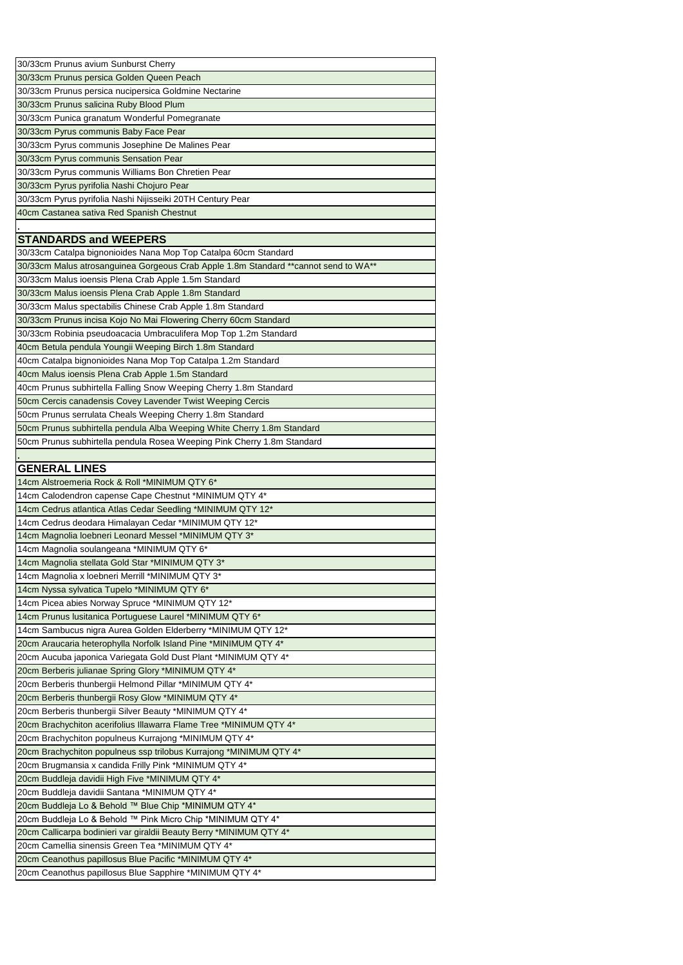| 30/33cm Prunus avium Sunburst Cherry                                                                                   |
|------------------------------------------------------------------------------------------------------------------------|
| 30/33cm Prunus persica Golden Queen Peach                                                                              |
| 30/33cm Prunus persica nucipersica Goldmine Nectarine                                                                  |
| 30/33cm Prunus salicina Ruby Blood Plum                                                                                |
| 30/33cm Punica granatum Wonderful Pomegranate                                                                          |
| 30/33cm Pyrus communis Baby Face Pear                                                                                  |
| 30/33cm Pyrus communis Josephine De Malines Pear                                                                       |
| 30/33cm Pyrus communis Sensation Pear                                                                                  |
| 30/33cm Pyrus communis Williams Bon Chretien Pear                                                                      |
| 30/33cm Pyrus pyrifolia Nashi Chojuro Pear                                                                             |
| 30/33cm Pyrus pyrifolia Nashi Nijisseiki 20TH Century Pear                                                             |
| 40cm Castanea sativa Red Spanish Chestnut                                                                              |
|                                                                                                                        |
| <b>STANDARDS and WEEPERS</b>                                                                                           |
| 30/33cm Catalpa bignonioides Nana Mop Top Catalpa 60cm Standard                                                        |
| 30/33cm Malus atrosanguinea Gorgeous Crab Apple 1.8m Standard ** cannot send to WA**                                   |
| 30/33cm Malus ioensis Plena Crab Apple 1.5m Standard                                                                   |
| 30/33cm Malus ioensis Plena Crab Apple 1.8m Standard                                                                   |
| 30/33cm Malus spectabilis Chinese Crab Apple 1.8m Standard                                                             |
| 30/33cm Prunus incisa Kojo No Mai Flowering Cherry 60cm Standard                                                       |
| 30/33cm Robinia pseudoacacia Umbraculifera Mop Top 1.2m Standard                                                       |
| 40cm Betula pendula Youngii Weeping Birch 1.8m Standard                                                                |
| 40cm Catalpa bignonioides Nana Mop Top Catalpa 1.2m Standard                                                           |
|                                                                                                                        |
| 40cm Malus ioensis Plena Crab Apple 1.5m Standard<br>40cm Prunus subhirtella Falling Snow Weeping Cherry 1.8m Standard |
|                                                                                                                        |
| 50cm Cercis canadensis Covey Lavender Twist Weeping Cercis                                                             |
| 50cm Prunus serrulata Cheals Weeping Cherry 1.8m Standard                                                              |
| 50cm Prunus subhirtella pendula Alba Weeping White Cherry 1.8m Standard                                                |
| 50cm Prunus subhirtella pendula Rosea Weeping Pink Cherry 1.8m Standard                                                |
|                                                                                                                        |
|                                                                                                                        |
| <b>GENERAL LINES</b>                                                                                                   |
| 14cm Alstroemeria Rock & Roll *MINIMUM QTY 6*                                                                          |
| 14cm Calodendron capense Cape Chestnut *MINIMUM QTY 4*                                                                 |
| 14cm Cedrus atlantica Atlas Cedar Seedling *MINIMUM QTY 12*                                                            |
| 14cm Cedrus deodara Himalayan Cedar *MINIMUM QTY 12*                                                                   |
| 14cm Magnolia loebneri Leonard Messel *MINIMUM QTY 3*                                                                  |
| 14cm Magnolia soulangeana *MINIMUM QTY 6*                                                                              |
| 14cm Magnolia stellata Gold Star *MINIMUM QTY 3*                                                                       |
| 14cm Magnolia x loebneri Merrill *MINIMUM QTY 3*                                                                       |
| 14cm Nyssa sylvatica Tupelo *MINIMUM QTY 6*                                                                            |
| 14cm Picea abies Norway Spruce *MINIMUM QTY 12*                                                                        |
| 14cm Prunus Iusitanica Portuguese Laurel *MINIMUM QTY 6*                                                               |
| 14cm Sambucus nigra Aurea Golden Elderberry *MINIMUM QTY 12*                                                           |
| 20cm Araucaria heterophylla Norfolk Island Pine *MINIMUM QTY 4*                                                        |
| 20cm Aucuba japonica Variegata Gold Dust Plant *MINIMUM QTY 4*                                                         |
| 20cm Berberis julianae Spring Glory *MINIMUM QTY 4*                                                                    |
| 20cm Berberis thunbergii Helmond Pillar *MINIMUM QTY 4*                                                                |
| 20cm Berberis thunbergii Rosy Glow *MINIMUM QTY 4*                                                                     |
| 20cm Berberis thunbergii Silver Beauty *MINIMUM QTY 4*                                                                 |
| 20cm Brachychiton acerifolius Illawarra Flame Tree *MINIMUM QTY 4*                                                     |
| 20cm Brachychiton populneus Kurrajong *MINIMUM QTY 4*                                                                  |
| 20cm Brachychiton populneus ssp trilobus Kurrajong *MINIMUM QTY 4*                                                     |
| 20cm Brugmansia x candida Frilly Pink *MINIMUM QTY 4*                                                                  |
| 20cm Buddleja davidii High Five *MINIMUM QTY 4*                                                                        |
| 20cm Buddleja davidii Santana *MINIMUM QTY 4*                                                                          |
| 20cm Buddleja Lo & Behold ™ Blue Chip *MINIMUM QTY 4*                                                                  |
| 20cm Buddleja Lo & Behold ™ Pink Micro Chip *MINIMUM QTY 4*                                                            |
| 20cm Callicarpa bodinieri var giraldii Beauty Berry *MINIMUM QTY 4*                                                    |
| 20cm Camellia sinensis Green Tea *MINIMUM QTY 4*                                                                       |
| 20cm Ceanothus papillosus Blue Pacific *MINIMUM QTY 4*                                                                 |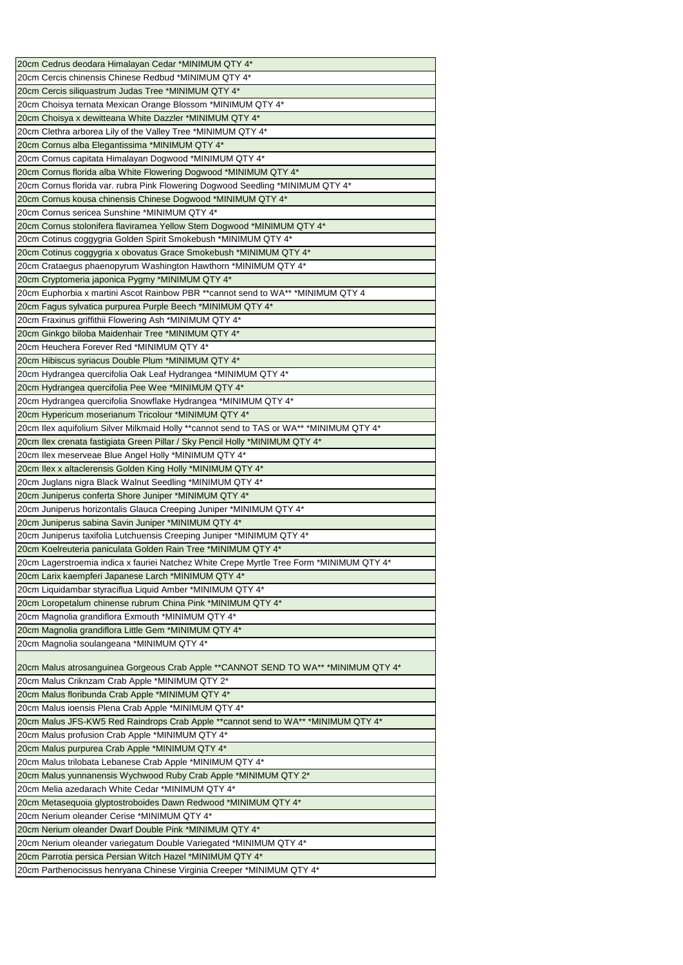| 20cm Cedrus deodara Himalayan Cedar *MINIMUM QTY 4*                                                                                                |
|----------------------------------------------------------------------------------------------------------------------------------------------------|
| 20cm Cercis chinensis Chinese Redbud *MINIMUM QTY 4*                                                                                               |
| 20cm Cercis siliquastrum Judas Tree *MINIMUM QTY 4*                                                                                                |
| 20cm Choisya ternata Mexican Orange Blossom *MINIMUM QTY 4*                                                                                        |
| 20cm Choisya x dewitteana White Dazzler *MINIMUM QTY 4*                                                                                            |
| 20cm Clethra arborea Lily of the Valley Tree *MINIMUM QTY 4*                                                                                       |
| 20cm Cornus alba Elegantissima *MINIMUM QTY 4*                                                                                                     |
| 20cm Cornus capitata Himalayan Dogwood *MINIMUM QTY 4*                                                                                             |
|                                                                                                                                                    |
| 20cm Cornus florida alba White Flowering Dogwood *MINIMUM QTY 4*<br>20cm Cornus florida var. rubra Pink Flowering Dogwood Seedling *MINIMUM QTY 4* |
|                                                                                                                                                    |
| 20cm Cornus kousa chinensis Chinese Dogwood *MINIMUM QTY 4*                                                                                        |
| 20cm Cornus sericea Sunshine *MINIMUM QTY 4*                                                                                                       |
| 20cm Cornus stolonifera flaviramea Yellow Stem Dogwood *MINIMUM QTY 4*                                                                             |
| 20cm Cotinus coggygria Golden Spirit Smokebush *MINIMUM QTY 4*                                                                                     |
| 20cm Cotinus coggygria x obovatus Grace Smokebush *MINIMUM QTY 4*                                                                                  |
| 20cm Crataegus phaenopyrum Washington Hawthorn *MINIMUM QTY 4*                                                                                     |
| 20cm Cryptomeria japonica Pygmy *MINIMUM QTY 4*                                                                                                    |
| 20cm Euphorbia x martini Ascot Rainbow PBR ** cannot send to WA** * MINIMUM QTY 4                                                                  |
| 20cm Fagus sylvatica purpurea Purple Beech *MINIMUM QTY 4*                                                                                         |
| 20cm Fraxinus griffithii Flowering Ash *MINIMUM QTY 4*                                                                                             |
| 20cm Ginkgo biloba Maidenhair Tree *MINIMUM QTY 4*                                                                                                 |
| 20cm Heuchera Forever Red *MINIMUM QTY 4*                                                                                                          |
| 20cm Hibiscus syriacus Double Plum *MINIMUM QTY 4*                                                                                                 |
| 20cm Hydrangea quercifolia Oak Leaf Hydrangea *MINIMUM QTY 4*                                                                                      |
| 20cm Hydrangea quercifolia Pee Wee *MINIMUM QTY 4*                                                                                                 |
| 20cm Hydrangea quercifolia Snowflake Hydrangea *MINIMUM QTY 4*                                                                                     |
| 20cm Hypericum moserianum Tricolour *MINIMUM QTY 4*                                                                                                |
| 20cm Ilex aquifolium Silver Milkmaid Holly ** cannot send to TAS or WA** * MINIMUM QTY 4*                                                          |
| 20cm Ilex crenata fastigiata Green Pillar / Sky Pencil Holly *MINIMUM QTY 4*                                                                       |
| 20cm Ilex meserveae Blue Angel Holly *MINIMUM QTY 4*                                                                                               |
| 20cm Ilex x altaclerensis Golden King Holly *MINIMUM QTY 4*                                                                                        |
| 20cm Juglans nigra Black Walnut Seedling *MINIMUM QTY 4*                                                                                           |
| 20cm Juniperus conferta Shore Juniper *MINIMUM QTY 4*                                                                                              |
| 20cm Juniperus horizontalis Glauca Creeping Juniper *MINIMUM QTY 4*                                                                                |
| 20cm Juniperus sabina Savin Juniper *MINIMUM QTY 4*                                                                                                |
| 20cm Juniperus taxifolia Lutchuensis Creeping Juniper *MINIMUM QTY 4*                                                                              |
| 20cm Koelreuteria paniculata Golden Rain Tree *MINIMUM QTY 4*                                                                                      |
| 20cm Lagerstroemia indica x fauriei Natchez White Crepe Myrtle Tree Form *MINIMUM QTY 4*                                                           |
| 20cm Larix kaempferi Japanese Larch *MINIMUM QTY 4*                                                                                                |
| 20cm Liquidambar styraciflua Liquid Amber *MINIMUM QTY 4*                                                                                          |
| 20cm Loropetalum chinense rubrum China Pink *MINIMUM QTY 4*                                                                                        |
| 20cm Magnolia grandiflora Exmouth *MINIMUM QTY 4*                                                                                                  |
| 20cm Magnolia grandiflora Little Gem *MINIMUM QTY 4*                                                                                               |
|                                                                                                                                                    |
| 20cm Magnolia soulangeana *MINIMUM QTY 4*                                                                                                          |
| 20cm Malus atrosanguinea Gorgeous Crab Apple **CANNOT SEND TO WA** *MINIMUM QTY 4*                                                                 |
| 20cm Malus Criknzam Crab Apple *MINIMUM QTY 2*                                                                                                     |
| 20cm Malus floribunda Crab Apple *MINIMUM QTY 4*                                                                                                   |
|                                                                                                                                                    |
| 20cm Malus ioensis Plena Crab Apple *MINIMUM QTY 4*                                                                                                |
| 20cm Malus JFS-KW5 Red Raindrops Crab Apple ** cannot send to WA** * MINIMUM QTY 4*                                                                |
| 20cm Malus profusion Crab Apple *MINIMUM QTY 4*                                                                                                    |
| 20cm Malus purpurea Crab Apple *MINIMUM QTY 4*                                                                                                     |
|                                                                                                                                                    |
| 20cm Malus trilobata Lebanese Crab Apple *MINIMUM QTY 4*                                                                                           |
| 20cm Malus yunnanensis Wychwood Ruby Crab Apple *MINIMUM QTY 2*                                                                                    |
| 20cm Melia azedarach White Cedar *MINIMUM QTY 4*                                                                                                   |
| 20cm Metasequoia glyptostroboides Dawn Redwood *MINIMUM QTY 4*                                                                                     |
| 20cm Nerium oleander Cerise *MINIMUM QTY 4*                                                                                                        |
| 20cm Nerium oleander Dwarf Double Pink *MINIMUM QTY 4*                                                                                             |
| 20cm Nerium oleander variegatum Double Variegated *MINIMUM QTY 4*                                                                                  |
| 20cm Parrotia persica Persian Witch Hazel *MINIMUM QTY 4*                                                                                          |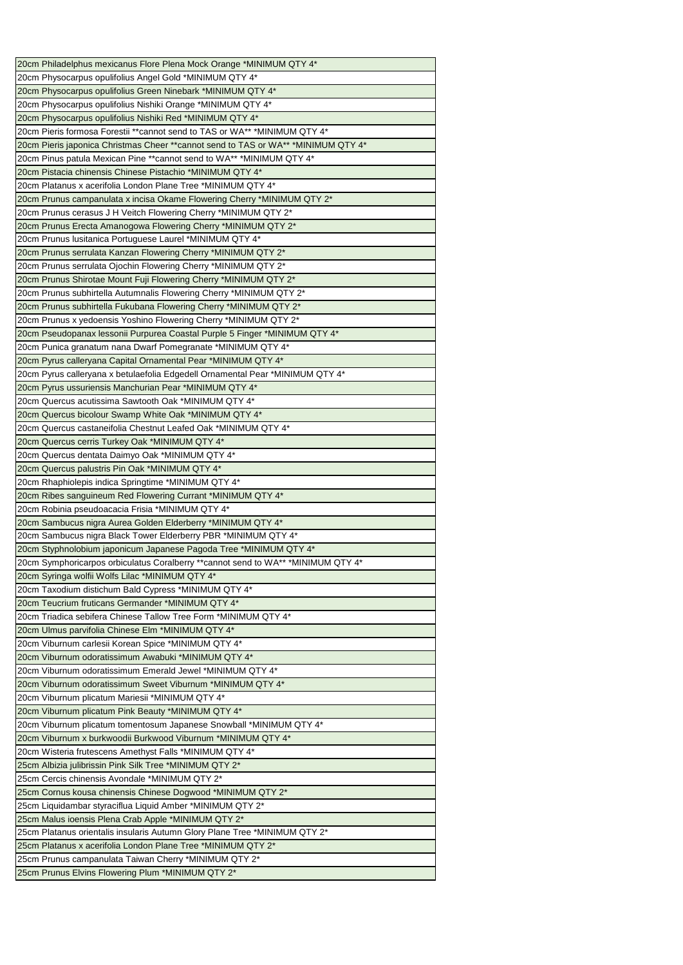| 20cm Philadelphus mexicanus Flore Plena Mock Orange *MINIMUM QTY 4*                                                       |
|---------------------------------------------------------------------------------------------------------------------------|
| 20cm Physocarpus opulifolius Angel Gold *MINIMUM QTY 4*                                                                   |
| 20cm Physocarpus opulifolius Green Ninebark *MINIMUM QTY 4*                                                               |
| 20cm Physocarpus opulifolius Nishiki Orange *MINIMUM QTY 4*                                                               |
| 20cm Physocarpus opulifolius Nishiki Red *MINIMUM QTY 4*                                                                  |
| 20cm Pieris formosa Forestii ** cannot send to TAS or WA** * MINIMUM QTY 4*                                               |
| 20cm Pieris japonica Christmas Cheer ** cannot send to TAS or WA** * MINIMUM QTY 4*                                       |
| 20cm Pinus patula Mexican Pine ** cannot send to WA** * MINIMUM QTY 4*                                                    |
|                                                                                                                           |
| 20cm Pistacia chinensis Chinese Pistachio *MINIMUM QTY 4*<br>20cm Platanus x acerifolia London Plane Tree *MINIMUM QTY 4* |
|                                                                                                                           |
| 20cm Prunus campanulata x incisa Okame Flowering Cherry *MINIMUM QTY 2*                                                   |
| 20cm Prunus cerasus J H Veitch Flowering Cherry *MINIMUM QTY 2*                                                           |
| 20cm Prunus Erecta Amanogowa Flowering Cherry *MINIMUM QTY 2*                                                             |
| 20cm Prunus Iusitanica Portuguese Laurel *MINIMUM QTY 4*                                                                  |
| 20cm Prunus serrulata Kanzan Flowering Cherry *MINIMUM QTY 2*                                                             |
| 20cm Prunus serrulata Ojochin Flowering Cherry *MINIMUM QTY 2*                                                            |
| 20cm Prunus Shirotae Mount Fuji Flowering Cherry *MINIMUM QTY 2*                                                          |
| 20cm Prunus subhirtella Autumnalis Flowering Cherry *MINIMUM QTY 2*                                                       |
| 20cm Prunus subhirtella Fukubana Flowering Cherry *MINIMUM QTY 2*                                                         |
| 20cm Prunus x yedoensis Yoshino Flowering Cherry *MINIMUM QTY 2*                                                          |
| 20cm Pseudopanax lessonii Purpurea Coastal Purple 5 Finger *MINIMUM QTY 4*                                                |
| 20cm Punica granatum nana Dwarf Pomegranate *MINIMUM QTY 4*                                                               |
| 20cm Pyrus calleryana Capital Ornamental Pear *MINIMUM QTY 4*                                                             |
| 20cm Pyrus calleryana x betulaefolia Edgedell Ornamental Pear *MINIMUM QTY 4*                                             |
| 20cm Pyrus ussuriensis Manchurian Pear *MINIMUM QTY 4*                                                                    |
| 20cm Quercus acutissima Sawtooth Oak *MINIMUM QTY 4*                                                                      |
| 20cm Quercus bicolour Swamp White Oak *MINIMUM QTY 4*                                                                     |
| 20cm Quercus castaneifolia Chestnut Leafed Oak *MINIMUM QTY 4*                                                            |
| 20cm Quercus cerris Turkey Oak *MINIMUM QTY 4*                                                                            |
| 20cm Quercus dentata Daimyo Oak *MINIMUM QTY 4*                                                                           |
| 20cm Quercus palustris Pin Oak *MINIMUM QTY 4*                                                                            |
| 20cm Rhaphiolepis indica Springtime *MINIMUM QTY 4*                                                                       |
| 20cm Ribes sanguineum Red Flowering Currant *MINIMUM QTY 4*                                                               |
| 20cm Robinia pseudoacacia Frisia *MINIMUM QTY 4*                                                                          |
| 20cm Sambucus nigra Aurea Golden Elderberry *MINIMUM QTY 4*                                                               |
| 20cm Sambucus nigra Black Tower Elderberry PBR *MINIMUM QTY 4*                                                            |
| 20cm Styphnolobium japonicum Japanese Pagoda Tree *MINIMUM QTY 4*                                                         |
| 20cm Symphoricarpos orbiculatus Coralberry **cannot send to WA** *MINIMUM QTY 4*                                          |
| 20cm Syringa wolfii Wolfs Lilac *MINIMUM QTY 4*                                                                           |
|                                                                                                                           |
|                                                                                                                           |
| 20cm Taxodium distichum Bald Cypress *MINIMUM QTY 4*                                                                      |
| 20cm Teucrium fruticans Germander *MINIMUM QTY 4*                                                                         |
| 20cm Triadica sebifera Chinese Tallow Tree Form *MINIMUM QTY 4*                                                           |
| 20cm Ulmus parvifolia Chinese Elm *MINIMUM QTY 4*                                                                         |
| 20cm Viburnum carlesii Korean Spice *MINIMUM QTY 4*                                                                       |
| 20cm Viburnum odoratissimum Awabuki *MINIMUM QTY 4*                                                                       |
| 20cm Viburnum odoratissimum Emerald Jewel *MINIMUM QTY 4*                                                                 |
| 20cm Viburnum odoratissimum Sweet Viburnum *MINIMUM QTY 4*                                                                |
| 20cm Viburnum plicatum Mariesii *MINIMUM QTY 4*                                                                           |
| 20cm Viburnum plicatum Pink Beauty *MINIMUM QTY 4*                                                                        |
| 20cm Viburnum plicatum tomentosum Japanese Snowball *MINIMUM QTY 4*                                                       |
| 20cm Viburnum x burkwoodii Burkwood Viburnum *MINIMUM QTY 4*                                                              |
| 20cm Wisteria frutescens Amethyst Falls *MINIMUM QTY 4*                                                                   |
| 25cm Albizia julibrissin Pink Silk Tree *MINIMUM QTY 2*                                                                   |
| 25cm Cercis chinensis Avondale *MINIMUM QTY 2*                                                                            |
| 25cm Cornus kousa chinensis Chinese Dogwood *MINIMUM QTY 2*                                                               |
| 25cm Liquidambar styraciflua Liquid Amber *MINIMUM QTY 2*                                                                 |
| 25cm Malus ioensis Plena Crab Apple *MINIMUM QTY 2*                                                                       |
| 25cm Platanus orientalis insularis Autumn Glory Plane Tree *MINIMUM QTY 2*                                                |
| 25cm Platanus x acerifolia London Plane Tree *MINIMUM QTY 2*                                                              |
| 25cm Prunus campanulata Taiwan Cherry *MINIMUM QTY 2*                                                                     |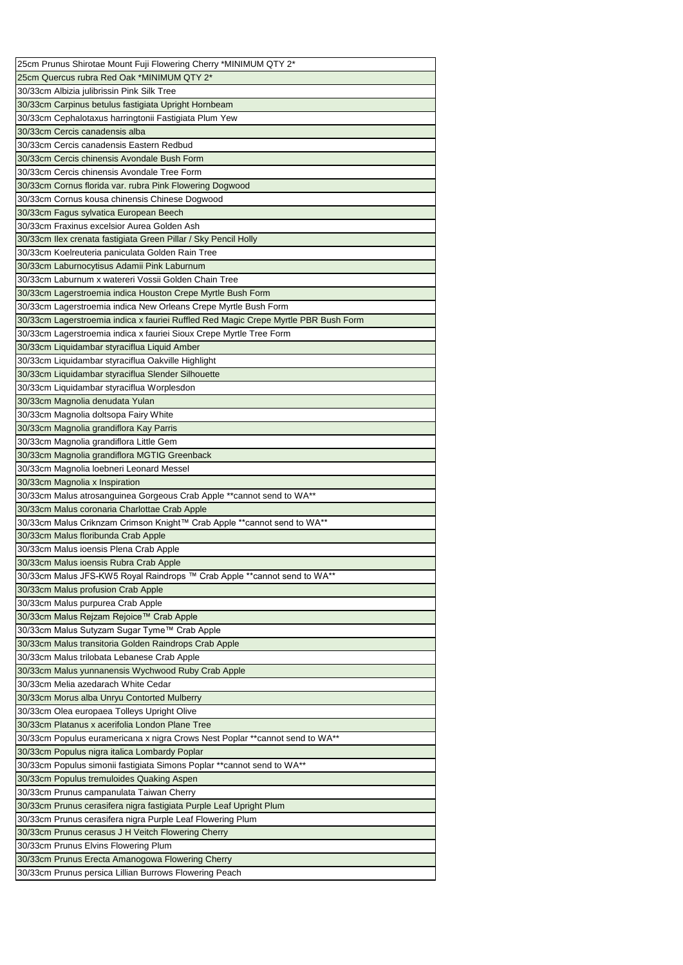| 25cm Prunus Shirotae Mount Fuji Flowering Cherry *MINIMUM QTY 2*                    |
|-------------------------------------------------------------------------------------|
| 25cm Quercus rubra Red Oak *MINIMUM QTY 2*                                          |
| 30/33cm Albizia julibrissin Pink Silk Tree                                          |
| 30/33cm Carpinus betulus fastigiata Upright Hornbeam                                |
| 30/33cm Cephalotaxus harringtonii Fastigiata Plum Yew                               |
| 30/33cm Cercis canadensis alba                                                      |
| 30/33cm Cercis canadensis Eastern Redbud                                            |
| 30/33cm Cercis chinensis Avondale Bush Form                                         |
|                                                                                     |
| 30/33cm Cercis chinensis Avondale Tree Form                                         |
| 30/33cm Cornus florida var. rubra Pink Flowering Dogwood                            |
| 30/33cm Cornus kousa chinensis Chinese Dogwood                                      |
| 30/33cm Fagus sylvatica European Beech                                              |
| 30/33cm Fraxinus excelsior Aurea Golden Ash                                         |
| 30/33cm Ilex crenata fastigiata Green Pillar / Sky Pencil Holly                     |
| 30/33cm Koelreuteria paniculata Golden Rain Tree                                    |
| 30/33cm Laburnocytisus Adamii Pink Laburnum                                         |
| 30/33cm Laburnum x watereri Vossii Golden Chain Tree                                |
| 30/33cm Lagerstroemia indica Houston Crepe Myrtle Bush Form                         |
| 30/33cm Lagerstroemia indica New Orleans Crepe Myrtle Bush Form                     |
| 30/33cm Lagerstroemia indica x fauriei Ruffled Red Magic Crepe Myrtle PBR Bush Form |
| 30/33cm Lagerstroemia indica x fauriei Sioux Crepe Myrtle Tree Form                 |
|                                                                                     |
| 30/33cm Liquidambar styraciflua Liquid Amber                                        |
| 30/33cm Liquidambar styraciflua Oakville Highlight                                  |
| 30/33cm Liquidambar styraciflua Slender Silhouette                                  |
| 30/33cm Liquidambar styraciflua Worplesdon                                          |
| 30/33cm Magnolia denudata Yulan                                                     |
| 30/33cm Magnolia doltsopa Fairy White                                               |
| 30/33cm Magnolia grandiflora Kay Parris                                             |
| 30/33cm Magnolia grandiflora Little Gem                                             |
| 30/33cm Magnolia grandiflora MGTIG Greenback                                        |
| 30/33cm Magnolia loebneri Leonard Messel                                            |
| 30/33cm Magnolia x Inspiration                                                      |
| 30/33cm Malus atrosanguinea Gorgeous Crab Apple ** cannot send to WA**              |
| 30/33cm Malus coronaria Charlottae Crab Apple                                       |
| 30/33cm Malus Criknzam Crimson Knight™ Crab Apple ** cannot send to WA**            |
|                                                                                     |
| 30/33cm Malus floribunda Crab Apple                                                 |
| 30/33cm Malus ioensis Plena Crab Apple                                              |
| 30/33cm Malus ioensis Rubra Crab Apple                                              |
| 30/33cm Malus JFS-KW5 Royal Raindrops ™ Crab Apple **cannot send to WA**            |
| 30/33cm Malus profusion Crab Apple                                                  |
| 30/33cm Malus purpurea Crab Apple                                                   |
| 30/33cm Malus Rejzam Rejoice™ Crab Apple                                            |
| 30/33cm Malus Sutyzam Sugar Tyme™ Crab Apple                                        |
| 30/33cm Malus transitoria Golden Raindrops Crab Apple                               |
| 30/33cm Malus trilobata Lebanese Crab Apple                                         |
| 30/33cm Malus yunnanensis Wychwood Ruby Crab Apple                                  |
| 30/33cm Melia azedarach White Cedar                                                 |
| 30/33cm Morus alba Unryu Contorted Mulberry                                         |
|                                                                                     |
| 30/33cm Olea europaea Tolleys Upright Olive                                         |
| 30/33cm Platanus x acerifolia London Plane Tree                                     |
| 30/33cm Populus euramericana x nigra Crows Nest Poplar ** cannot send to WA**       |
| 30/33cm Populus nigra italica Lombardy Poplar                                       |
| 30/33cm Populus simonii fastigiata Simons Poplar ** cannot send to WA**             |
| 30/33cm Populus tremuloides Quaking Aspen                                           |
| 30/33cm Prunus campanulata Taiwan Cherry                                            |
| 30/33cm Prunus cerasifera nigra fastigiata Purple Leaf Upright Plum                 |
| 30/33cm Prunus cerasifera nigra Purple Leaf Flowering Plum                          |
| 30/33cm Prunus cerasus J H Veitch Flowering Cherry                                  |
| 30/33cm Prunus Elvins Flowering Plum                                                |
| 30/33cm Prunus Erecta Amanogowa Flowering Cherry                                    |
| 30/33cm Prunus persica Lillian Burrows Flowering Peach                              |
|                                                                                     |